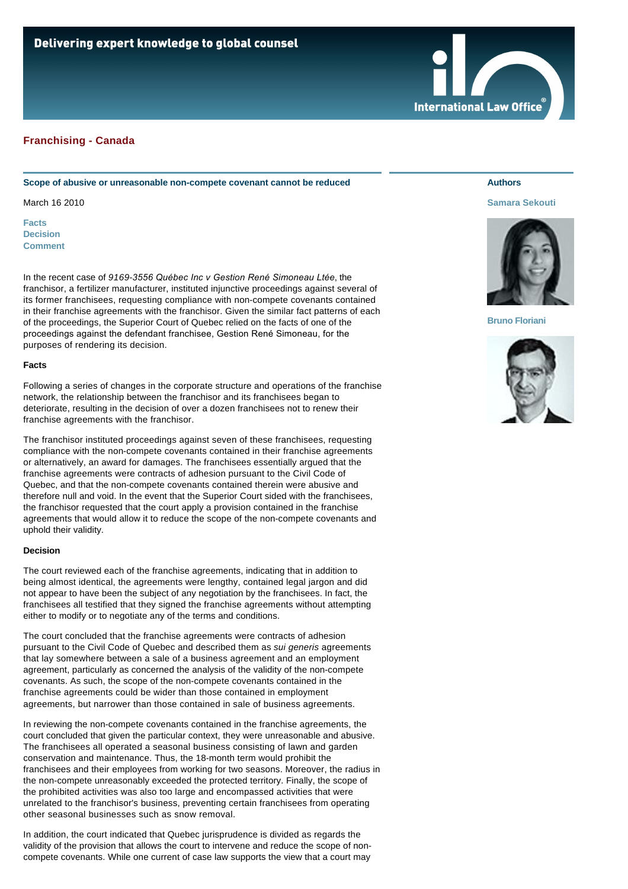# **Franchising - Canada**

### **Scope of abusive or unreasonable non-compete covenant cannot be reduced**

March 16 2010

**[Facts](#page-0-0) [Decision](#page-0-1) [Comment](#page-1-0)**

In the recent case of *9169-3556 Québec Inc v Gestion René Simoneau Ltée*, the franchisor, a fertilizer manufacturer, instituted injunctive proceedings against several of its former franchisees, requesting compliance with non-compete covenants contained in their franchise agreements with the franchisor. Given the similar fact patterns of each of the proceedings, the Superior Court of Quebec relied on the facts of one of the proceedings against the defendant franchisee, Gestion René Simoneau, for the purposes of rendering its decision.

### <span id="page-0-0"></span>**Facts**

Following a series of changes in the corporate structure and operations of the franchise network, the relationship between the franchisor and its franchisees began to deteriorate, resulting in the decision of over a dozen franchisees not to renew their franchise agreements with the franchisor.

The franchisor instituted proceedings against seven of these franchisees, requesting compliance with the non-compete covenants contained in their franchise agreements or alternatively, an award for damages. The franchisees essentially argued that the franchise agreements were contracts of adhesion pursuant to the Civil Code of Quebec, and that the non-compete covenants contained therein were abusive and therefore null and void. In the event that the Superior Court sided with the franchisees, the franchisor requested that the court apply a provision contained in the franchise agreements that would allow it to reduce the scope of the non-compete covenants and uphold their validity.

### <span id="page-0-1"></span>**Decision**

The court reviewed each of the franchise agreements, indicating that in addition to being almost identical, the agreements were lengthy, contained legal jargon and did not appear to have been the subject of any negotiation by the franchisees. In fact, the franchisees all testified that they signed the franchise agreements without attempting either to modify or to negotiate any of the terms and conditions.

The court concluded that the franchise agreements were contracts of adhesion pursuant to the Civil Code of Quebec and described them as *sui generis* agreements that lay somewhere between a sale of a business agreement and an employment agreement, particularly as concerned the analysis of the validity of the non-compete covenants. As such, the scope of the non-compete covenants contained in the franchise agreements could be wider than those contained in employment agreements, but narrower than those contained in sale of business agreements.

In reviewing the non-compete covenants contained in the franchise agreements, the court concluded that given the particular context, they were unreasonable and abusive. The franchisees all operated a seasonal business consisting of lawn and garden conservation and maintenance. Thus, the 18-month term would prohibit the franchisees and their employees from working for two seasons. Moreover, the radius in the non-compete unreasonably exceeded the protected territory. Finally, the scope of the prohibited activities was also too large and encompassed activities that were unrelated to the franchisor's business, preventing certain franchisees from operating other seasonal businesses such as snow removal.

In addition, the court indicated that Quebec jurisprudence is divided as regards the validity of the provision that allows the court to intervene and reduce the scope of noncompete covenants. While one current of case law supports the view that a court may

## **Authors**

### **[Samara Sekouti](http://www.internationallawoffice.com/gesr.ashx?l=7C4DYK2)**



### **[Bruno Floriani](http://www.internationallawoffice.com/gesr.ashx?l=7C4DYJC)**